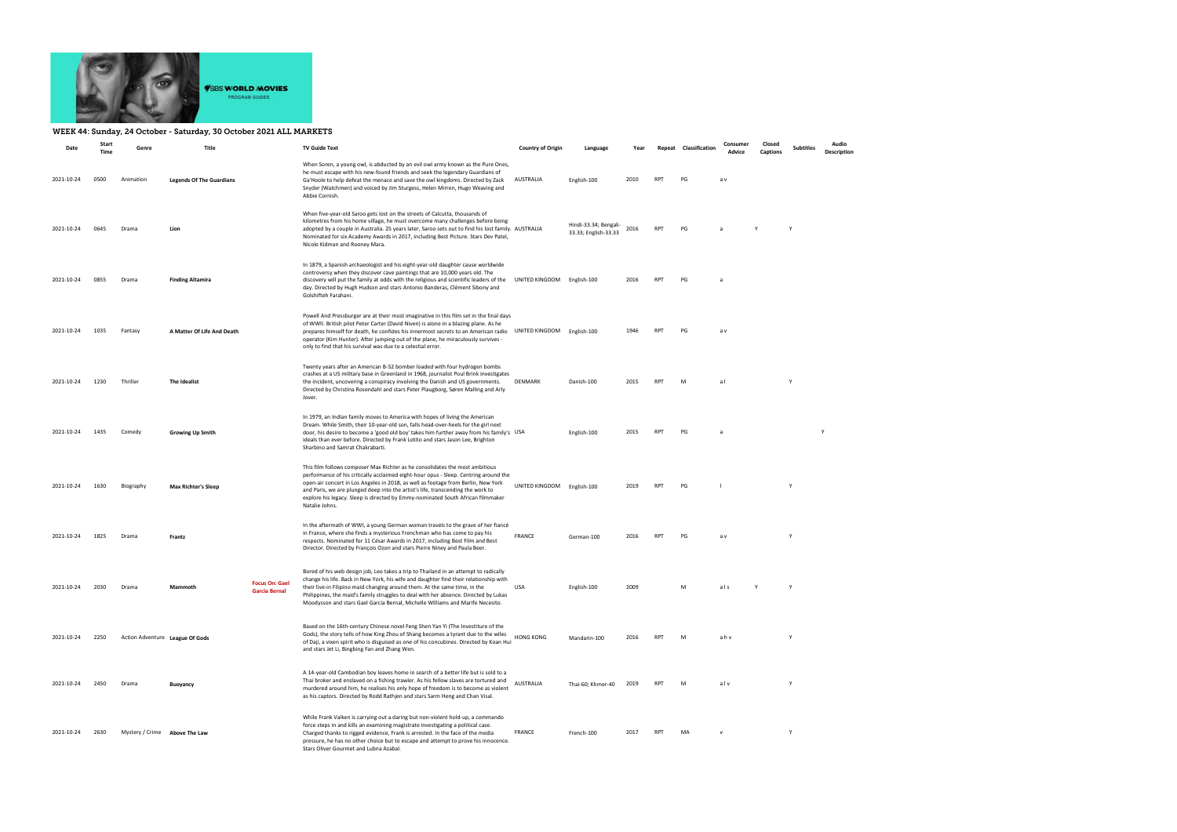

## WEEK 44: Sunday, 24 October - Saturday, 30 October 2021 ALL MARKETS

| Date       | Start<br><b>Time</b> | Genre                           | <b>Title</b>                    |                                               | <b>TV Guide Text</b>                                                                                                                                                                                                                                                                                                                                                                                                                              | <b>Country of Origin</b>   | Language                                      | Year |            | Repeat Classification | Consumer<br>Advice | Closed<br><b>Captions</b> | <b>Subtitles</b> | Audio<br>Description |
|------------|----------------------|---------------------------------|---------------------------------|-----------------------------------------------|---------------------------------------------------------------------------------------------------------------------------------------------------------------------------------------------------------------------------------------------------------------------------------------------------------------------------------------------------------------------------------------------------------------------------------------------------|----------------------------|-----------------------------------------------|------|------------|-----------------------|--------------------|---------------------------|------------------|----------------------|
| 2021-10-24 | 0500                 | Animation                       | <b>Legends Of The Guardians</b> |                                               | When Soren, a young owl, is abducted by an evil owl army known as the Pure Ones,<br>he must escape with his new-found friends and seek the legendary Guardians of<br>Ga'Hoole to help defeat the menace and save the owl kingdoms. Directed by Zack<br>Snyder (Watchmen) and voiced by Jim Sturgess, Helen Mirren, Hugo Weaving and<br>Abbie Cornish.                                                                                             | AUSTRALIA                  | English-100                                   | 2010 | <b>RPT</b> | PG                    | a v                |                           |                  |                      |
| 2021-10-24 | 0645                 | Drama                           | Lion                            |                                               | When five-year-old Saroo gets lost on the streets of Calcutta, thousands of<br>kilometres from his home village, he must overcome many challenges before being<br>adopted by a couple in Australia. 25 years later, Saroo sets out to find his lost family. AUSTRALIA<br>Nominated for six Academy Awards in 2017, including Best Picture. Stars Dev Patel,<br>Nicole Kidman and Rooney Mara.                                                     |                            | Hindi-33.34; Bengali-<br>33.33; English-33.33 | 2016 | <b>RPT</b> | PG                    | a                  | $\mathsf{v}$              | Y                |                      |
| 2021-10-24 | 0855                 | Drama                           | <b>Finding Altamira</b>         |                                               | In 1879, a Spanish archaeologist and his eight-year-old daughter cause worldwide<br>controversy when they discover cave paintings that are 10,000 years old. The<br>discovery will put the family at odds with the religious and scientific leaders of the<br>day. Directed by Hugh Hudson and stars Antonio Banderas, Clément Sibony and<br>Golshifteh Farahani.                                                                                 | UNITED KINGDOM English-100 |                                               | 2016 | <b>RPT</b> | PG                    | a                  |                           |                  |                      |
| 2021-10-24 | 1035                 | Fantasy                         | A Matter Of Life And Death      |                                               | Powell And Pressburger are at their most imaginative in this film set in the final days<br>of WWII. British pilot Peter Carter (David Niven) is alone in a blazing plane. As he<br>prepares himself for death, he confides his innermost secrets to an American radio<br>operator (Kim Hunter). After jumping out of the plane, he miraculously survives -<br>only to find that his survival was due to a celestial error.                        | UNITED KINGDOM English-100 |                                               | 1946 | <b>RPT</b> | PG                    | a v                |                           |                  |                      |
| 2021-10-24 | 1230                 | Thriller                        | The Idealist                    |                                               | Twenty years after an American B-52 bomber loaded with four hydrogen bombs<br>crashes at a US military base in Greenland in 1968, journalist Poul Brink investigates<br>the incident, uncovering a conspiracy involving the Danish and US governments.<br>Directed by Christina Rosendahl and stars Peter Plaugborg, Søren Malling and Arly<br>Jover.                                                                                             | DENMARK                    | Danish-100                                    | 2015 | <b>RPT</b> | M                     | al                 |                           | Y                |                      |
| 2021-10-24 | 1435                 | Comedy                          | <b>Growing Up Smith</b>         |                                               | In 1979, an Indian family moves to America with hopes of living the American<br>Dream. While Smith, their 10-year-old son, falls head-over-heels for the girl next<br>door, his desire to become a 'good old boy' takes him further away from his family's USA<br>ideals than ever before. Directed by Frank Lotito and stars Jason Lee, Brighton<br>Sharbino and Samrat Chakrabarti.                                                             |                            | English-100                                   | 2015 | <b>RPT</b> | PG                    | $\overline{a}$     |                           |                  | Y                    |
| 2021-10-24 | 1630                 | Biography                       | <b>Max Richter's Sleep</b>      |                                               | This film follows composer Max Richter as he consolidates the most ambitious<br>performance of his critically acclaimed eight-hour opus - Sleep. Centring around the<br>open-air concert in Los Angeles in 2018, as well as footage from Berlin, New York<br>and Paris, we are plunged deep into the artist's life, transcending the work to<br>explore his legacy. Sleep is directed by Emmy-nominated South African filmmaker<br>Natalie Johns. | UNITED KINGDOM             | English-100                                   | 2019 | <b>RPT</b> | PG                    |                    |                           | $\mathsf{v}$     |                      |
| 2021-10-24 | 1825                 | Drama                           | Frantz                          |                                               | In the aftermath of WWI, a young German woman travels to the grave of her fiancé<br>in France, where she finds a mysterious Frenchman who has come to pay his<br>respects. Nominated for 11 César Awards in 2017, including Best Film and Best<br>Director. Directed by François Ozon and stars Pierre Niney and Paula Beer.                                                                                                                      | <b>FRANCE</b>              | German-100                                    | 2016 | <b>RPT</b> | PG                    | a v                |                           | Y                |                      |
| 2021-10-24 | 2030                 | Drama                           | Mammoth                         | <b>Focus On: Gael</b><br><b>García Bernal</b> | Bored of his web design job, Leo takes a trip to Thailand in an attempt to radically<br>change his life. Back in New York, his wife and daughter find their relationship with<br>their live-in Filipino maid changing around them. At the same time, in the<br>Philippines, the maid's family struggles to deal with her absence. Directed by Lukas<br>Moodysson and stars Gael García Bernal, Michelle Williams and Marife Necesito.             | USA                        | English-100                                   | 2009 |            |                       | als                |                           |                  |                      |
| 2021-10-24 | 2250                 | Action Adventure League Of Gods |                                 |                                               | Based on the 16th-century Chinese novel Feng Shen Yan Yi (The Investiture of the<br>Gods), the story tells of how King Zhou of Shang becomes a tyrant due to the wiles<br>of Daji, a vixen spirit who is disguised as one of his concubines. Directed by Koan Hui<br>and stars Jet Li, Bingbing Fan and Zhang Wen.                                                                                                                                | <b>HONG KONG</b>           | Mandarin-100                                  | 2016 | <b>RPT</b> | M                     | ahv                |                           | Y                |                      |
| 2021-10-24 | 2450                 | Drama                           | <b>Buoyancy</b>                 |                                               | A 14-year-old Cambodian boy leaves home in search of a better life but is sold to a<br>Thai broker and enslaved on a fishing trawler. As his fellow slaves are tortured and<br>murdered around him, he realises his only hope of freedom is to become as violent<br>as his captors. Directed by Rodd Rathjen and stars Sarm Heng and Chan Visal.                                                                                                  | AUSTRALIA                  | Thai-60; Khmer-40                             | 2019 | RPT        | M                     | alv                |                           |                  |                      |
| 2021-10-24 | 2630                 | Mystery / Crime Above The Law   |                                 |                                               | While Frank Valken is carrying out a daring but non-violent hold-up, a commando<br>force steps in and kills an examining magistrate investigating a political case.<br>Charged thanks to rigged evidence, Frank is arrested. In the face of the media<br>pressure, he has no other choice but to escape and attempt to prove his innocence.<br>Stars Oliver Gourmet and Lubna Azabal.                                                             | FRANCE                     | French-100                                    | 2017 | <b>RPT</b> | MA                    | $\mathsf{v}$       |                           | Y                |                      |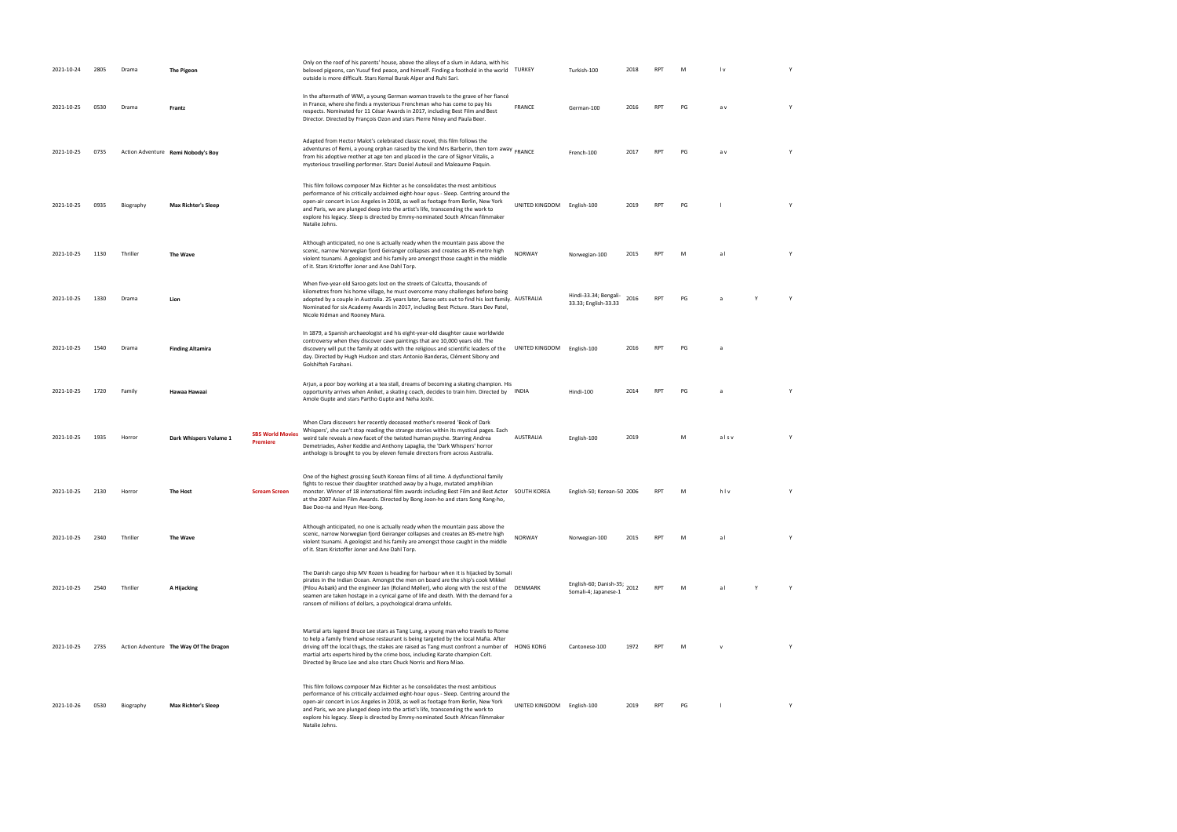| 2021-10-24 | 2805 | Drama     | <b>The Pigeon</b>                      |                                            | Only on the roof of his parents' house, above the alleys of a slum in Adana, with his<br>beloved pigeons, can Yusuf find peace, and himself. Finding a foothold in the world TURKEY<br>outside is more difficult. Stars Kemal Burak Alper and Ruhi Sari.                                                                                                                                                                                          |                            | Turkish-100                                         | 2018 | <b>RPT</b> |    | $\mathsf{I} \mathsf{v}$ |   | Y |
|------------|------|-----------|----------------------------------------|--------------------------------------------|---------------------------------------------------------------------------------------------------------------------------------------------------------------------------------------------------------------------------------------------------------------------------------------------------------------------------------------------------------------------------------------------------------------------------------------------------|----------------------------|-----------------------------------------------------|------|------------|----|-------------------------|---|---|
| 2021-10-25 | 0530 | Drama     | Frantz                                 |                                            | In the aftermath of WWI, a young German woman travels to the grave of her fiancé<br>in France, where she finds a mysterious Frenchman who has come to pay his<br>respects. Nominated for 11 César Awards in 2017, including Best Film and Best<br>Director. Directed by François Ozon and stars Pierre Niney and Paula Beer.                                                                                                                      | <b>FRANCE</b>              | German-100                                          | 2016 | <b>RPT</b> | PG | a v                     |   |   |
| 2021-10-25 | 0735 |           | Action Adventure Remi Nobody's Boy     |                                            | Adapted from Hector Malot's celebrated classic novel, this film follows the<br>adventures of Remi, a young orphan raised by the kind Mrs Barberin, then torn away<br>from his adoptive mother at age ten and placed in the care of Signor Vitalis, a<br>mysterious travelling performer. Stars Daniel Auteuil and Maleaume Paquin.                                                                                                                |                            | French-100                                          | 2017 | <b>RPT</b> | PG | a v                     |   |   |
| 2021-10-25 | 0935 | Biography | <b>Max Richter's Sleep</b>             |                                            | This film follows composer Max Richter as he consolidates the most ambitious<br>performance of his critically acclaimed eight-hour opus - Sleep. Centring around the<br>open-air concert in Los Angeles in 2018, as well as footage from Berlin, New York<br>and Paris, we are plunged deep into the artist's life, transcending the work to<br>explore his legacy. Sleep is directed by Emmy-nominated South African filmmaker<br>Natalie Johns. | UNITED KINGDOM English-100 |                                                     | 2019 | <b>RPT</b> | PG |                         |   | Y |
| 2021-10-25 | 1130 | Thriller  | The Wave                               |                                            | Although anticipated, no one is actually ready when the mountain pass above the<br>scenic, narrow Norwegian fjord Geiranger collapses and creates an 85-metre high<br>violent tsunami. A geologist and his family are amongst those caught in the middle<br>of it. Stars Kristoffer Joner and Ane Dahl Torp.                                                                                                                                      | <b>NORWAY</b>              | Norwegian-100                                       | 2015 | RPT        | M  | al                      |   | Υ |
| 2021-10-25 | 1330 | Drama     | Lion                                   |                                            | When five-year-old Saroo gets lost on the streets of Calcutta, thousands of<br>kilometres from his home village, he must overcome many challenges before being<br>adopted by a couple in Australia. 25 years later, Saroo sets out to find his lost family. AUSTRALIA<br>Nominated for six Academy Awards in 2017, including Best Picture. Stars Dev Patel,<br>Nicole Kidman and Rooney Mara.                                                     |                            | Hindi-33.34; Bengali-<br>33.33; English-33.33       | 2016 | <b>RPT</b> | PG |                         | Y | Y |
| 2021-10-25 | 1540 | Drama     | <b>Finding Altamira</b>                |                                            | In 1879, a Spanish archaeologist and his eight-year-old daughter cause worldwide<br>controversy when they discover cave paintings that are 10,000 years old. The<br>discovery will put the family at odds with the religious and scientific leaders of the<br>day. Directed by Hugh Hudson and stars Antonio Banderas, Clément Sibony and<br>Golshifteh Farahani.                                                                                 | UNITED KINGDOM English-100 |                                                     | 2016 | <b>RPT</b> | PG | a                       |   |   |
| 2021-10-25 | 1720 | Family    | Hawaa Hawaai                           |                                            | Arjun, a poor boy working at a tea stall, dreams of becoming a skating champion. His<br>opportunity arrives when Aniket, a skating coach, decides to train him. Directed by INDIA<br>Amole Gupte and stars Partho Gupte and Neha Joshi.                                                                                                                                                                                                           |                            | Hindi-100                                           | 2014 | <b>RPT</b> | PG | $\overline{a}$          |   |   |
| 2021-10-25 | 1935 | Horror    | Dark Whispers Volume 1                 | <b>SBS World Movies</b><br><b>Premiere</b> | When Clara discovers her recently deceased mother's revered 'Book of Dark<br>Whispers', she can't stop reading the strange stories within its mystical pages. Each<br>weird tale reveals a new facet of the twisted human psyche. Starring Andrea<br>Demetriades, Asher Keddie and Anthony Lapaglia, the 'Dark Whispers' horror<br>anthology is brought to you by eleven female directors from across Australia.                                  | AUSTRALIA                  | English-100                                         | 2019 |            | м  | alsv                    |   |   |
| 2021-10-25 | 2130 | Horror    | The Host                               | <b>Scream Screen</b>                       | One of the highest grossing South Korean films of all time. A dysfunctional family<br>fights to rescue their daughter snatched away by a huge, mutated amphibian<br>monster. Winner of 18 international film awards including Best Film and Best Actor SOUTH KOREA<br>at the 2007 Asian Film Awards. Directed by Bong Joon-ho and stars Song Kang-ho,<br>Bae Doo-na and Hyun Hee-bong.                                                            |                            | English-50; Korean-50 2006                          |      | <b>RPT</b> | M  | hlv                     |   | Υ |
| 2021-10-25 | 2340 | Thriller  | The Wave                               |                                            | Although anticipated, no one is actually ready when the mountain pass above the<br>scenic, narrow Norwegian fjord Geiranger collapses and creates an 85-metre high<br>violent tsunami. A geologist and his family are amongst those caught in the middle<br>of it. Stars Kristoffer Joner and Ane Dahl Torp.                                                                                                                                      | <b>NORWAY</b>              | Norwegian-100                                       | 2015 | <b>RPT</b> | м  | al                      |   | Υ |
| 2021-10-25 | 2540 | Thriller  | A Hijacking                            |                                            | The Danish cargo ship MV Rozen is heading for harbour when it is hijacked by Somali<br>pirates in the Indian Ocean. Amongst the men on board are the ship's cook Mikkel<br>(Pilou Asbæk) and the engineer Jan (Roland Møller), who along with the rest of the<br>seamen are taken hostage in a cynical game of life and death. With the demand for a<br>ransom of millions of dollars, a psychological drama unfolds.                             | DENMARK                    | English-60; Danish-35; 2012<br>Somali-4; Japanese-1 |      | <b>RPT</b> | M  | a l                     | Y | Y |
| 2021-10-25 | 2735 |           | Action Adventure The Way Of The Dragon |                                            | Martial arts legend Bruce Lee stars as Tang Lung, a young man who travels to Rome<br>to help a family friend whose restaurant is being targeted by the local Mafia. After<br>driving off the local thugs, the stakes are raised as Tang must confront a number of HONG KONG<br>martial arts experts hired by the crime boss, including Karate champion Colt.<br>Directed by Bruce Lee and also stars Chuck Norris and Nora Miao.                  |                            | Cantonese-100                                       | 1972 | <b>RPT</b> | M  |                         |   |   |
| 2021-10-26 | 0530 | Biography | <b>Max Richter's Sleep</b>             |                                            | This film follows composer Max Richter as he consolidates the most ambitious<br>performance of his critically acclaimed eight-hour opus - Sleep. Centring around the<br>open-air concert in Los Angeles in 2018, as well as footage from Berlin, New York<br>and Paris, we are plunged deep into the artist's life, transcending the work to<br>explore his legacy. Sleep is directed by Emmy-nominated South African filmmaker<br>Natalie Johns. | UNITED KINGDOM English-100 |                                                     | 2019 | <b>RPT</b> | PG |                         |   |   |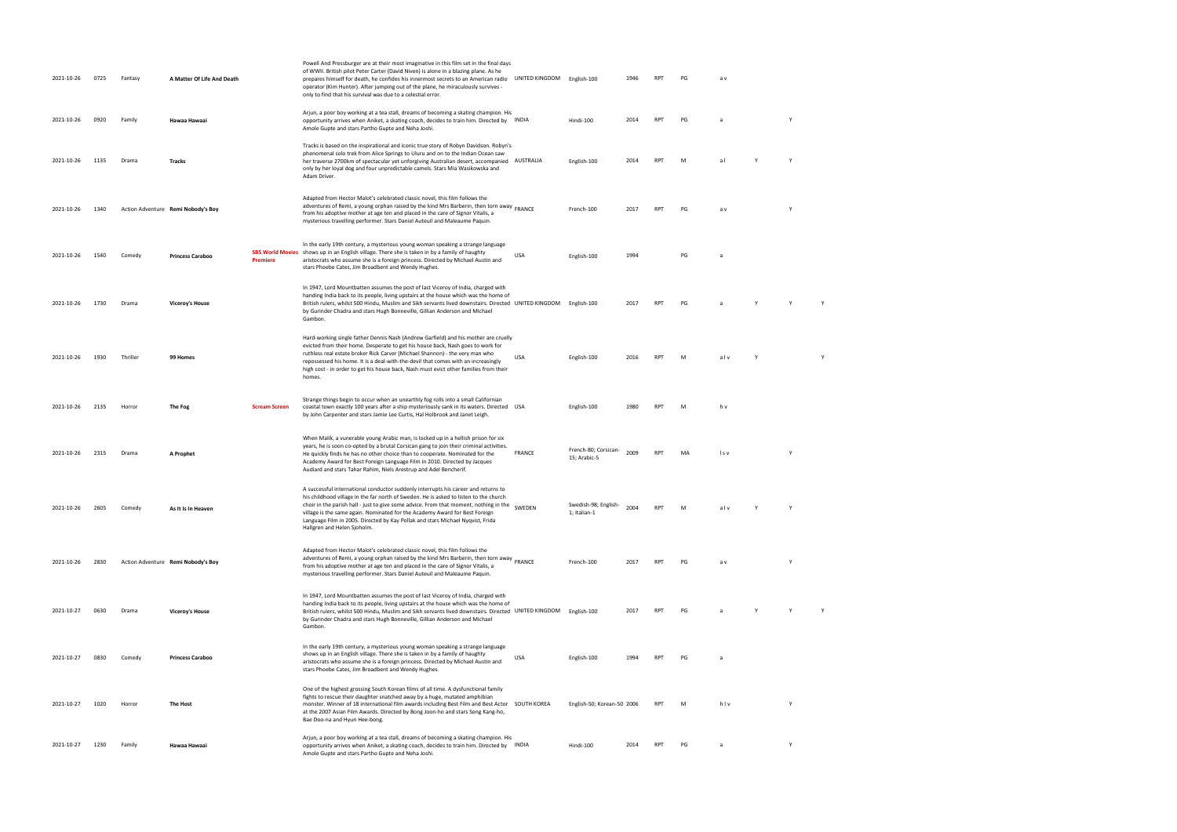| 2021-10-26 | 0725 | Fantasy  | A Matter Of Life And Death         |                                            | Powell And Pressburger are at their most imaginative in this film set in the final days<br>of WWII. British pilot Peter Carter (David Niven) is alone in a blazing plane. As he<br>prepares himself for death, he confides his innermost secrets to an American radio<br>operator (Kim Hunter). After jumping out of the plane, he miraculously survives -<br>only to find that his survival was due to a celestial error.                                           | UNITED KINGDOM English-100 |                                      | 1946 | <b>RPT</b> | PG | a v      |   |  |
|------------|------|----------|------------------------------------|--------------------------------------------|----------------------------------------------------------------------------------------------------------------------------------------------------------------------------------------------------------------------------------------------------------------------------------------------------------------------------------------------------------------------------------------------------------------------------------------------------------------------|----------------------------|--------------------------------------|------|------------|----|----------|---|--|
| 2021-10-26 | 0920 | Family   | Hawaa Hawaai                       |                                            | Arjun, a poor boy working at a tea stall, dreams of becoming a skating champion. His<br>opportunity arrives when Aniket, a skating coach, decides to train him. Directed by INDIA<br>Amole Gupte and stars Partho Gupte and Neha Joshi.                                                                                                                                                                                                                              |                            | Hindi-100                            | 2014 | <b>RPT</b> | PG |          |   |  |
| 2021-10-26 | 1135 | Drama    | Tracks                             |                                            | Tracks is based on the inspirational and iconic true story of Robyn Davidson. Robyn's<br>phenomenal solo trek from Alice Springs to Uluru and on to the Indian Ocean saw<br>her traverse 2700km of spectacular yet unforgiving Australian desert, accompanied AUSTRALIA<br>only by her loyal dog and four unpredictable camels. Stars Mia Wasikowska and<br>Adam Driver.                                                                                             |                            | English-100                          | 2014 | <b>RPT</b> | M  | al       |   |  |
| 2021-10-26 | 1340 |          | Action Adventure Remi Nobody's Boy |                                            | Adapted from Hector Malot's celebrated classic novel, this film follows the<br>adventures of Remi, a young orphan raised by the kind Mrs Barberin, then torn away<br>from his adoptive mother at age ten and placed in the care of Signor Vitalis, a<br>mysterious travelling performer. Stars Daniel Auteuil and Maleaume Paquin.                                                                                                                                   |                            | French-100                           | 2017 | <b>RPT</b> | PG | a v      |   |  |
| 2021-10-26 | 1540 | Comedy   | <b>Princess Caraboo</b>            | <b>SBS World Movies</b><br><b>Premiere</b> | In the early 19th century, a mysterious young woman speaking a strange language<br>shows up in an English village. There she is taken in by a family of haughty<br>aristocrats who assume she is a foreign princess. Directed by Michael Austin and<br>stars Phoebe Cates, Jim Broadbent and Wendy Hughes.                                                                                                                                                           | <b>USA</b>                 | English-100                          | 1994 |            | PG | a        |   |  |
| 2021-10-26 | 1730 | Drama    | <b>Viceroy's House</b>             |                                            | In 1947, Lord Mountbatten assumes the post of last Viceroy of India, charged with<br>handing India back to its people, living upstairs at the house which was the home of<br>British rulers, whilst 500 Hindu, Muslim and Sikh servants lived downstairs. Directed UNITED KINGDOM English-100<br>by Gurinder Chadra and stars Hugh Bonneville, Gillian Anderson and Michael<br>Gambon.                                                                               |                            |                                      | 2017 | <b>RPT</b> | PG |          |   |  |
| 2021-10-26 | 1930 | Thriller | 99 Homes                           |                                            | Hard-working single father Dennis Nash (Andrew Garfield) and his mother are cruelly<br>evicted from their home. Desperate to get his house back, Nash goes to work for<br>ruthless real estate broker Rick Carver (Michael Shannon) - the very man who<br>repossessed his home. It is a deal-with-the-devil that comes with an increasingly<br>high cost - in order to get his house back, Nash must evict other families from their<br>homes.                       | <b>USA</b>                 | English-100                          | 2016 | <b>RPT</b> | M  | alv      |   |  |
| 2021-10-26 | 2135 | Horror   | The Fog                            | <b>Scream Screen</b>                       | Strange things begin to occur when an unearthly fog rolls into a small Californian<br>coastal town exactly 100 years after a ship mysteriously sank in its waters. Directed USA<br>by John Carpenter and stars Jamie Lee Curtis, Hal Holbrook and Janet Leigh.                                                                                                                                                                                                       |                            | English-100                          | 1980 | <b>RPT</b> | M  | h v      |   |  |
| 2021-10-26 | 2315 | Drama    | A Prophet                          |                                            | When Malik, a vunerable young Arabic man, is locked up in a hellish prison for six<br>years, he is soon co-opted by a brutal Corsican gang to join their criminal activities.<br>He quickly finds he has no other choice than to cooperate. Nominated for the<br>Academy Award for Best Foreign Language Film in 2010. Directed by Jacques<br>Audiard and stars Tahar Rahim, Niels Arestrup and Adel Bencherif.                                                      | <b>FRANCE</b>              | French-80; Corsican-<br>15; Arabic-5 | 2009 | <b>RPT</b> | MA | l s v    |   |  |
| 2021-10-26 | 2605 | Comedy   | As It Is In Heaven                 |                                            | A successful international conductor suddenly interrupts his career and returns to<br>his childhood village in the far north of Sweden. He is asked to listen to the church<br>choir in the parish hall - just to give some advice. From that moment, nothing in the<br>village is the same again. Nominated for the Academy Award for Best Foreign<br>Language Film in 2005. Directed by Kay Pollak and stars Michael Nyqvist, Frida<br>Hallgren and Helen Sjoholm. | SWEDEN                     | Swedish-98; English-<br>1; Italian-1 | 2004 | RPT        | M  | alv      | Y |  |
| 2021-10-26 | 2830 |          | Action Adventure Remi Nobody's Boy |                                            | Adapted from Hector Malot's celebrated classic novel, this film follows the<br>adventures of Remi, a young orphan raised by the kind Mrs Barberin, then torn away<br>from his adoptive mother at age ten and placed in the care of Signor Vitalis, a<br>mysterious travelling performer. Stars Daniel Auteuil and Maleaume Paquin.                                                                                                                                   |                            | French-100                           | 2017 | RPT        | PG | a v      |   |  |
| 2021-10-27 | 0630 | Drama    | <b>Viceroy's House</b>             |                                            | In 1947, Lord Mountbatten assumes the post of last Viceroy of India, charged with<br>handing India back to its people, living upstairs at the house which was the home of<br>British rulers, whilst 500 Hindu, Muslim and Sikh servants lived downstairs. Directed UNITED KINGDOM English-100<br>by Gurinder Chadra and stars Hugh Bonneville, Gillian Anderson and Michael<br>Gambon.                                                                               |                            |                                      | 2017 | <b>RPT</b> | PG |          |   |  |
| 2021-10-27 | 0830 | Comedy   | <b>Princess Caraboo</b>            |                                            | In the early 19th century, a mysterious young woman speaking a strange language<br>shows up in an English village. There she is taken in by a family of haughty<br>aristocrats who assume she is a foreign princess. Directed by Michael Austin and<br>stars Phoebe Cates, Jim Broadbent and Wendy Hughes.                                                                                                                                                           | <b>USA</b>                 | English-100                          | 1994 | <b>RPT</b> | PG | <b>a</b> |   |  |
| 2021-10-27 | 1020 | Horror   | The Host                           |                                            | One of the highest grossing South Korean films of all time. A dysfunctional family<br>fights to rescue their daughter snatched away by a huge, mutated amphibian<br>monster. Winner of 18 international film awards including Best Film and Best Actor SOUTH KOREA<br>at the 2007 Asian Film Awards. Directed by Bong Joon-ho and stars Song Kang-ho,<br>Bae Doo-na and Hyun Hee-bong.                                                                               |                            | English-50; Korean-50 2006           |      | RPT        | M  | hlv      | Y |  |
| 2021-10-27 | 1230 | Family   | Hawaa Hawaai                       |                                            | Arjun, a poor boy working at a tea stall, dreams of becoming a skating champion. His<br>opportunity arrives when Aniket, a skating coach, decides to train him. Directed by INDIA<br>Amole Gupte and stars Partho Gupte and Neha Joshi.                                                                                                                                                                                                                              |                            | Hindi-100                            | 2014 | RPT        | PG | a        | Y |  |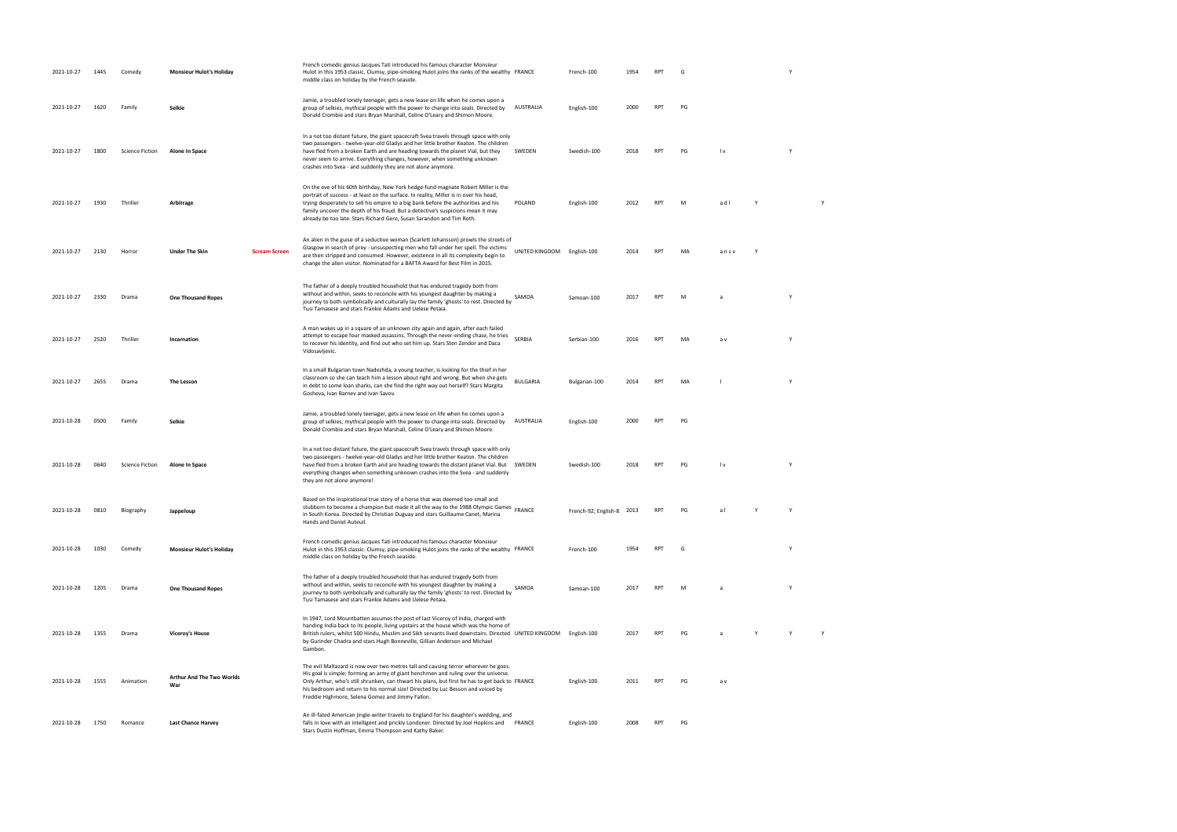| 2021-10-27 | 1445 | Comedy                 | <b>Monsieur Hulot's Holiday</b>  |                      | French comedic genius Jacques Tati introduced his famous character Monsieur<br>Hulot in this 1953 classic. Clumsy, pipe-smoking Hulot joins the ranks of the wealthy FRANCE<br>middle class on holiday by the French seaside.                                                                                                                                                                                                 |                            | French-100                | 1954 | RP <sub>1</sub> | G  |                         |   |  |
|------------|------|------------------------|----------------------------------|----------------------|-------------------------------------------------------------------------------------------------------------------------------------------------------------------------------------------------------------------------------------------------------------------------------------------------------------------------------------------------------------------------------------------------------------------------------|----------------------------|---------------------------|------|-----------------|----|-------------------------|---|--|
| 2021-10-27 | 1620 | Family                 | Selkie                           |                      | Jamie, a troubled lonely teenager, gets a new lease on life when he comes upon a<br>group of selkies, mythical people with the power to change into seals. Directed by<br>Donald Crombie and stars Bryan Marshall, Celine O'Leary and Shimon Moore.                                                                                                                                                                           | AUSTRALIA                  | English-100               | 2000 | <b>RPT</b>      | PG |                         |   |  |
| 2021-10-27 | 1800 | <b>Science Fiction</b> | Alone In Space                   |                      | In a not too distant future, the giant spacecraft Svea travels through space with only<br>two passengers - twelve-year-old Gladys and her little brother Keaton. The children<br>have fled from a broken Earth and are heading towards the planet Vial, but they<br>never seem to arrive. Everything changes, however, when something unknown<br>crashes into Svea - and suddenly they are not alone anymore.                 | SWEDEN                     | Swedish-100               | 2018 | <b>RPT</b>      | PG | $\mathsf{I} \mathsf{v}$ |   |  |
| 2021-10-27 | 1930 | Thriller               | Arbitrage                        |                      | On the eve of his 60th birthday, New York hedge-fund magnate Robert Miller is the<br>portrait of success - at least on the surface. In reality, Miller is in over his head,<br>trying desperately to sell his empire to a big bank before the authorities and his<br>family uncover the depth of his fraud. But a detective's suspicions mean it may<br>already be too late. Stars Richard Gere, Susan Sarandon and Tim Roth. | POLAND                     | English-100               | 2012 | <b>RPT</b>      | M  | adl                     |   |  |
| 2021-10-27 | 2130 | Horror                 | <b>Under The Skin</b>            | <b>Scream Screen</b> | An alien in the guise of a seductive woman (Scarlett Johansson) prowls the streets of<br>Glasgow in search of prey - unsuspecting men who fall under her spell. The victims<br>are then stripped and consumed. However, existence in all its complexity begin to<br>change the alien visitor. Nominated for a BAFTA Award for Best Film in 2015.                                                                              | UNITED KINGDOM English-100 |                           | 2014 | <b>RPT</b>      | MA | ansv                    |   |  |
| 2021-10-27 | 2330 | Drama                  | <b>One Thousand Ropes</b>        |                      | The father of a deeply troubled household that has endured tragedy both from<br>without and within, seeks to reconcile with his youngest daughter by making a<br>journey to both symbolically and culturally lay the family 'ghosts' to rest. Directed by<br>Tusi Tamasese and stars Frankie Adams and Uelese Petaia.                                                                                                         | SAMOA                      | Samoan-100                | 2017 | <b>RPT</b>      | м  |                         |   |  |
| 2021-10-27 | 2520 | Thriller               | Incarnation                      |                      | A man wakes up in a square of an unknown city again and again, after each failed<br>attempt to escape four masked assassins. Through the never-ending chase, he tries<br>to recover his identity, and find out who set him up. Stars Sten Zendor and Daca<br>Vidosavljevic.                                                                                                                                                   | <b>SERBIA</b>              | Serbian-100               | 2016 | <b>RPT</b>      | MA | a v                     | Y |  |
| 2021-10-27 | 2655 | Drama                  | <b>The Lesson</b>                |                      | In a small Bulgarian town Nadezhda, a young teacher, is looking for the thief in her<br>classroom so she can teach him a lesson about right and wrong. But when she gets<br>in debt to some loan sharks, can she find the right way out herself? Stars Margita<br>Gosheva, Ivan Barnev and Ivan Savov.                                                                                                                        | <b>BULGARIA</b>            | Bulgarian-100             | 2014 | <b>RPT</b>      | MA |                         |   |  |
| 2021-10-28 | 0500 | Family                 | Selkie                           |                      | Jamie, a troubled lonely teenager, gets a new lease on life when he comes upon a<br>group of selkies, mythical people with the power to change into seals. Directed by<br>Donald Crombie and stars Bryan Marshall, Celine O'Leary and Shimon Moore.                                                                                                                                                                           | AUSTRALIA                  | English-100               | 2000 | <b>RPT</b>      | PG |                         |   |  |
| 2021-10-28 | 0640 | <b>Science Fiction</b> | Alone In Space                   |                      | In a not too distant future, the giant spacecraft Svea travels through space with only<br>two passengers - twelve-year-old Gladys and her little brother Keaton. The children<br>have fled from a broken Earth and are heading towards the distant planet Vial. But<br>everything changes when something unknown crashes into the Svea - and suddenly<br>they are not alone anymore!                                          | SWEDEN                     | Swedish-100               | 2018 | <b>RPT</b>      | PG | $\mathsf{I} \mathsf{v}$ |   |  |
| 2021-10-28 | 0810 | Biography              | Jappeloup                        |                      | Based on the inspirational true story of a horse that was deemed too small and<br>stubborn to become a champion but made it all the way to the 1988 Olympic Games FRANCE<br>in South Korea. Directed by Christian Duguay and stars Guillaume Canet, Marina<br>Hands and Daniel Auteuil.                                                                                                                                       |                            | French-92; English-8 2013 |      | <b>RPT</b>      | PG | al                      |   |  |
| 2021-10-28 | 1030 | Comedy                 | <b>Monsieur Hulot's Holiday</b>  |                      | French comedic genius Jacques Tati introduced his famous character Monsieur<br>Hulot in this 1953 classic. Clumsy, pipe-smoking Hulot joins the ranks of the wealthy FRANCE<br>middle class on holiday by the French seaside.                                                                                                                                                                                                 |                            | French-100                | 1954 | <b>RPT</b>      | G  |                         |   |  |
| 2021-10-28 | 1205 | Drama                  | <b>One Thousand Ropes</b>        |                      | The father of a deeply troubled household that has endured tragedy both from<br>without and within, seeks to reconcile with his youngest daughter by making a<br>journey to both symbolically and culturally lay the family 'ghosts' to rest. Directed by<br>Tusi Tamasese and stars Frankie Adams and Uelese Petaia.                                                                                                         | SAMOA                      | Samoan-100                | 2017 | <b>RPT</b>      | M  |                         |   |  |
| 2021-10-28 | 1355 | Drama                  | <b>Viceroy's House</b>           |                      | In 1947, Lord Mountbatten assumes the post of last Viceroy of India, charged with<br>handing India back to its people, living upstairs at the house which was the home of<br>British rulers, whilst 500 Hindu, Muslim and Sikh servants lived downstairs. Directed UNITED KINGDOM English-100<br>by Gurinder Chadra and stars Hugh Bonneville, Gillian Anderson and Michael<br>Gambon.                                        |                            |                           | 2017 | <b>RPT</b>      | PG | a                       |   |  |
| 2021-10-28 | 1555 | Animation              | Arthur And The Two Worlds<br>War |                      | The evil Maltazard is now over two metres tall and causing terror wherever he goes.<br>His goal is simple: forming an army of giant henchmen and ruling over the universe.<br>Only Arthur, who's still shrunken, can thwart his plans, but first he has to get back to FRANCE<br>his bedroom and return to his normal size! Directed by Luc Besson and voiced by<br>Freddie Highmore, Selena Gomez and Jimmy Fallon.          |                            | English-100               | 2011 | <b>RPT</b>      | PG | a v                     |   |  |
| 2021-10-28 | 1750 | Romance                | <b>Last Chance Harvey</b>        |                      | An ill-fated American jingle-writer travels to England for his daughter's wedding, and<br>falls in love with an intelligent and prickly Londoner. Directed by Joel Hopkins and<br>Stars Dustin Hoffman, Emma Thompson and Kathy Baker.                                                                                                                                                                                        | FRANCE                     | English-100               | 2008 | <b>RPT</b>      | PG |                         |   |  |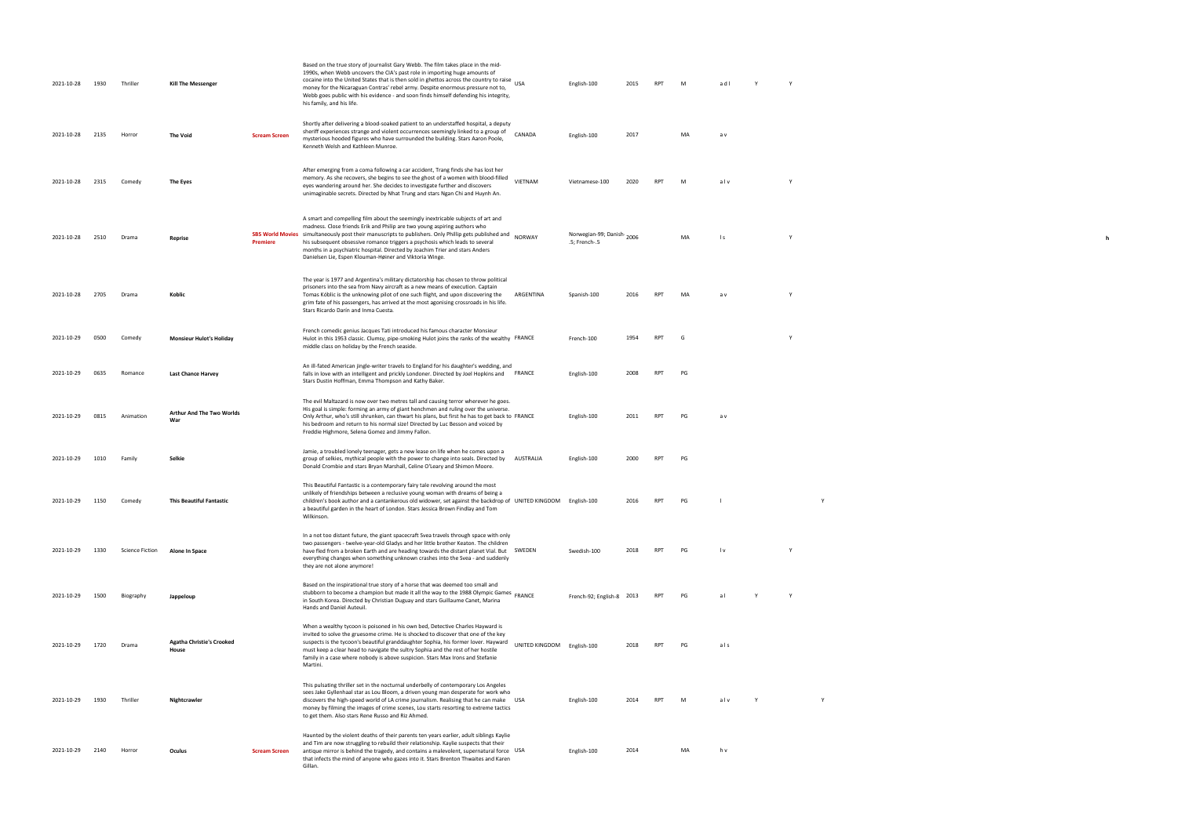| 2021-10-28 | 1930 | Thriller               | <b>Kill The Messenger</b>                 |                                     | Based on the true story of journalist Gary Webb. The film takes place in the mid-<br>1990s, when Webb uncovers the CIA's past role in importing huge amounts of<br>cocaine into the United States that is then sold in ghettos across the country to raise USA<br>money for the Nicaraguan Contras' rebel army. Despite enormous pressure not to,<br>Webb goes public with his evidence - and soon finds himself defending his integrity,<br>his family, and his life.           |                            | English-100                                | 2015 | <b>RPT</b> | M  | adl             |   | Y            |              |  |
|------------|------|------------------------|-------------------------------------------|-------------------------------------|----------------------------------------------------------------------------------------------------------------------------------------------------------------------------------------------------------------------------------------------------------------------------------------------------------------------------------------------------------------------------------------------------------------------------------------------------------------------------------|----------------------------|--------------------------------------------|------|------------|----|-----------------|---|--------------|--------------|--|
| 2021-10-28 | 2135 | Horror                 | <b>The Void</b>                           | <b>Scream Screen</b>                | Shortly after delivering a blood-soaked patient to an understaffed hospital, a deputy<br>sheriff experiences strange and violent occurrences seemingly linked to a group of<br>mysterious hooded figures who have surrounded the building. Stars Aaron Poole,<br>Kenneth Welsh and Kathleen Munroe.                                                                                                                                                                              | CANADA                     | English-100                                | 2017 |            | MA | a v             |   |              |              |  |
| 2021-10-28 | 2315 | Comedy                 | The Eyes                                  |                                     | After emerging from a coma following a car accident, Trang finds she has lost her<br>memory. As she recovers, she begins to see the ghost of a women with blood-filled<br>eyes wandering around her. She decides to investigate further and discovers<br>unimaginable secrets. Directed by Nhat Trung and stars Ngan Chi and Huynh An.                                                                                                                                           | VIETNAM                    | Vietnamese-100                             | 2020 | <b>RPT</b> | M  | alv             |   | $\mathsf{v}$ |              |  |
| 2021-10-28 | 2510 | Drama                  | Reprise                                   | <b>SBS World Movies</b><br>Premiere | A smart and compelling film about the seemingly inextricable subjects of art and<br>madness. Close friends Erik and Philip are two young aspiring authors who<br>simultaneously post their manuscripts to publishers. Only Phillip gets published and<br>his subsequent obsessive romance triggers a psychosis which leads to several<br>months in a psychiatric hospital. Directed by Joachim Trier and stars Anders<br>Danielsen Lie, Espen Klouman-Høiner and Viktoria Winge. | <b>NORWAY</b>              | Norwegian-99; Danish-2006<br>.5; French-.5 |      |            | MA | $\vert s \vert$ |   | $\mathsf{v}$ |              |  |
| 2021-10-28 | 2705 | Drama                  | Koblic                                    |                                     | The year is 1977 and Argentina's military dictatorship has chosen to throw political<br>prisoners into the sea from Navy aircraft as a new means of execution. Captain<br>Tomas Kóblic is the unknowing pilot of one such flight, and upon discovering the<br>grim fate of his passengers, has arrived at the most agonising crossroads in his life.<br>Stars Ricardo Darín and Inma Cuesta.                                                                                     | ARGENTINA                  | Spanish-100                                | 2016 | <b>RPT</b> | MA | a v             |   | Y            |              |  |
| 2021-10-29 | 0500 | Comedy                 | <b>Monsieur Hulot's Holiday</b>           |                                     | French comedic genius Jacques Tati introduced his famous character Monsieur<br>Hulot in this 1953 classic. Clumsy, pipe-smoking Hulot joins the ranks of the wealthy FRANCE<br>middle class on holiday by the French seaside.                                                                                                                                                                                                                                                    |                            | French-100                                 | 1954 | RPT        | G  |                 |   | Y            |              |  |
| 2021-10-29 | 0635 | Romance                | <b>Last Chance Harvey</b>                 |                                     | An ill-fated American jingle-writer travels to England for his daughter's wedding, and<br>falls in love with an intelligent and prickly Londoner. Directed by Joel Hopkins and<br>Stars Dustin Hoffman, Emma Thompson and Kathy Baker.                                                                                                                                                                                                                                           | FRANCE                     | English-100                                | 2008 | RPT        | PG |                 |   |              |              |  |
| 2021-10-29 | 0815 | Animation              | Arthur And The Two Worlds<br>War          |                                     | The evil Maltazard is now over two metres tall and causing terror wherever he goes.<br>His goal is simple: forming an army of giant henchmen and ruling over the universe.<br>Only Arthur, who's still shrunken, can thwart his plans, but first he has to get back to FRANCE<br>his bedroom and return to his normal size! Directed by Luc Besson and voiced by<br>Freddie Highmore, Selena Gomez and Jimmy Fallon.                                                             |                            | English-100                                | 2011 | <b>RPT</b> | PG | a v             |   |              |              |  |
| 2021-10-29 | 1010 | Family                 | Selkie                                    |                                     | Jamie, a troubled lonely teenager, gets a new lease on life when he comes upon a<br>group of selkies, mythical people with the power to change into seals. Directed by<br>Donald Crombie and stars Bryan Marshall, Celine O'Leary and Shimon Moore.                                                                                                                                                                                                                              | AUSTRALIA                  | English-100                                | 2000 | <b>RPT</b> | PG |                 |   |              |              |  |
| 2021-10-29 | 1150 | Comedy                 | <b>This Beautiful Fantastic</b>           |                                     | This Beautiful Fantastic is a contemporary fairy tale revolving around the most<br>unlikely of friendships between a reclusive young woman with dreams of being a<br>children's book author and a cantankerous old widower, set against the backdrop of UNITED KINGDOM English-100<br>a beautiful garden in the heart of London. Stars Jessica Brown Findlay and Tom<br>Wilkinson.                                                                                               |                            |                                            | 2016 | <b>RPT</b> | PG | -1              |   |              | Y            |  |
| 2021-10-29 | 1330 | <b>Science Fiction</b> | Alone In Space                            |                                     | In a not too distant future, the giant spacecraft Svea travels through space with only<br>two passengers - twelve-year-old Gladys and her little brother Keaton. The children<br>have fled from a broken Earth and are heading towards the distant planet Vial. But SWEDEN<br>everything changes when something unknown crashes into the Svea - and suddenly<br>they are not alone anymore!                                                                                      |                            | Swedish-100                                | 2018 | <b>RPT</b> | PG | l v             |   | Y            |              |  |
| 2021-10-29 | 1500 | Biography              | Jappeloup                                 |                                     | Based on the inspirational true story of a horse that was deemed too small and<br>stubborn to become a champion but made it all the way to the 1988 Olympic Games FRANCE<br>in South Korea. Directed by Christian Duguay and stars Guillaume Canet, Marina<br>Hands and Daniel Auteuil.                                                                                                                                                                                          |                            | French-92; English-8 2013                  |      | <b>RPT</b> | PG | al              |   | Y            |              |  |
| 2021-10-29 | 1720 | Drama                  | <b>Agatha Christie's Crooked</b><br>House |                                     | When a wealthy tycoon is poisoned in his own bed, Detective Charles Hayward is<br>invited to solve the gruesome crime. He is shocked to discover that one of the key<br>suspects is the tycoon's beautiful granddaughter Sophia, his former lover. Hayward<br>must keep a clear head to navigate the sultry Sophia and the rest of her hostile<br>family in a case where nobody is above suspicion. Stars Max Irons and Stefanie<br>Martini.                                     | UNITED KINGDOM English-100 |                                            | 2018 | <b>RPT</b> | PG | als             |   |              |              |  |
| 2021-10-29 | 1930 | Thriller               | Nightcrawler                              |                                     | This pulsating thriller set in the nocturnal underbelly of contemporary Los Angeles<br>sees Jake Gyllenhaal star as Lou Bloom, a driven young man desperate for work who<br>discovers the high-speed world of LA crime journalism. Realising that he can make USA<br>money by filming the images of crime scenes, Lou starts resorting to extreme tactics<br>to get them. Also stars Rene Russo and Riz Ahmed.                                                                   |                            | English-100                                | 2014 | <b>RPT</b> | M  | alv             | Y |              | $\mathsf{v}$ |  |
| 2021-10-29 | 2140 | Horror                 | Oculus                                    | <b>Scream Screen</b>                | Haunted by the violent deaths of their parents ten years earlier, adult siblings Kaylie<br>and Tim are now struggling to rebuild their relationship. Kaylie suspects that their<br>antique mirror is behind the tragedy, and contains a malevolent, supernatural force USA<br>that infects the mind of anyone who gazes into it. Stars Brenton Thwaites and Karen<br>Gillan.                                                                                                     |                            | English-100                                | 2014 |            | MA | h v             |   |              |              |  |

 $\mathbf{h}$